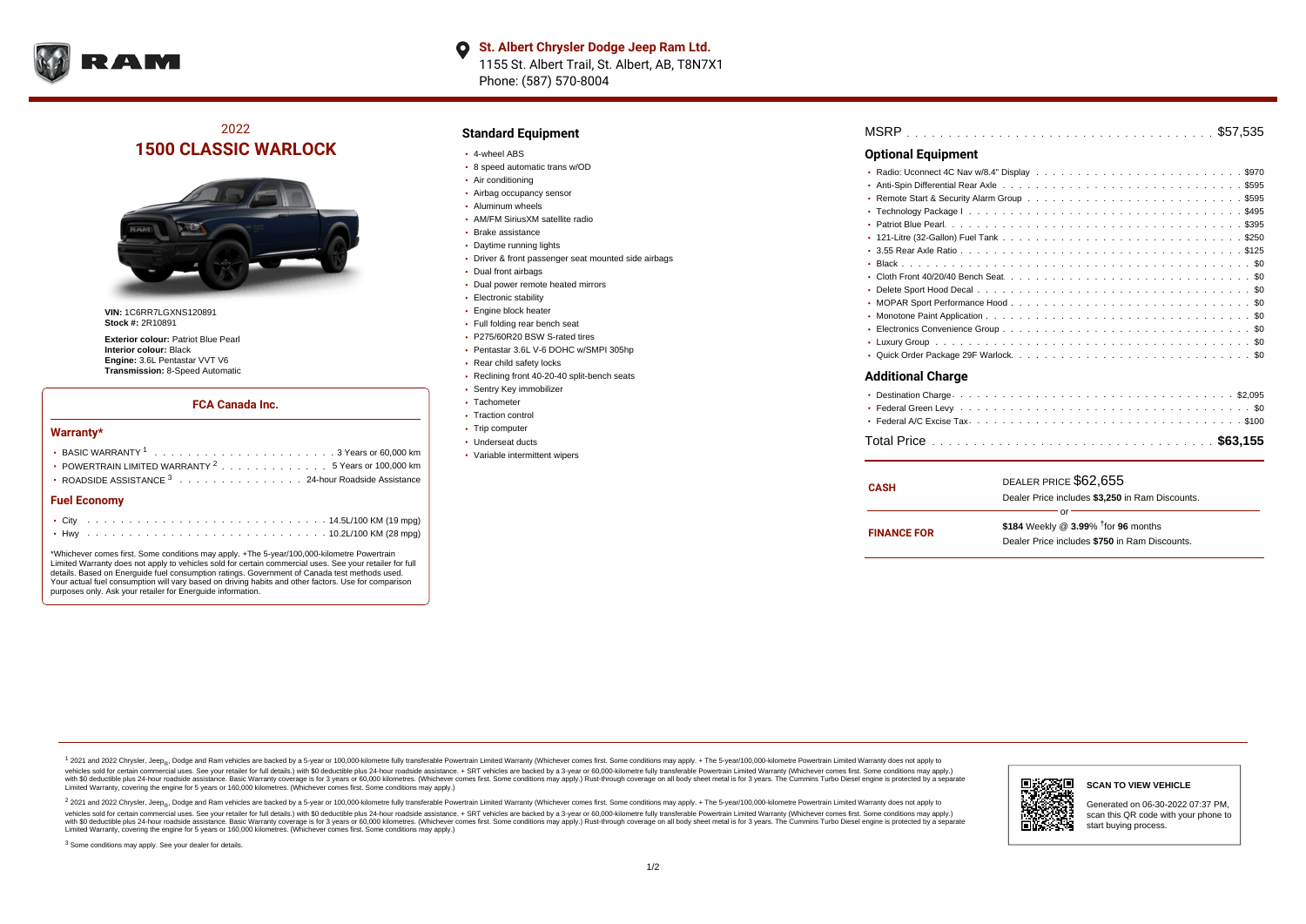

# 2022 **1500 CLASSIC WARLOCK**



**VIN:** 1C6RR7LGXNS120891 **Stock #:** 2R10891

**Exterior colour:** Patriot Blue Pearl **Interior colour:** Black **Engine:** 3.6L Pentastar VVT V6 **Transmission:** 8-Speed Automatic

#### **FCA Canada Inc.**

#### **Warranty\***

| POWERTRAIN LIMITED WARRANTY $2, \ldots, \ldots, \ldots, \ldots, 5$ Years or 100,000 km |  |  |  |  |  |  |  |  |  |  |  |  |  |  |  |  |  |  |
|----------------------------------------------------------------------------------------|--|--|--|--|--|--|--|--|--|--|--|--|--|--|--|--|--|--|
| • ROADSIDE ASSISTANCE 3 24-hour Roadside Assistance                                    |  |  |  |  |  |  |  |  |  |  |  |  |  |  |  |  |  |  |
| <b>Fuel Economy</b>                                                                    |  |  |  |  |  |  |  |  |  |  |  |  |  |  |  |  |  |  |
|                                                                                        |  |  |  |  |  |  |  |  |  |  |  |  |  |  |  |  |  |  |
|                                                                                        |  |  |  |  |  |  |  |  |  |  |  |  |  |  |  |  |  |  |

\*Whichever comes first. Some conditions may apply. +The 5-year/100,000-kilometre Powertrain Limited Warranty does not apply to vehicles sold for certain commercial uses. See your retailer for full details. Based on Energuide fuel consumption ratings. Government of Canada test methods used. Your actual fuel consumption will vary based on driving habits and other factors. Use for comparison purposes only. Ask your retailer for Energuide information.

### **Standard Equipment**

- 4-wheel ABS
- 8 speed automatic trans w/OD
- Air conditioning
- Airbag occupancy sensor
- Aluminum wheels
- AM/FM SiriusXM satellite radio
- Brake assistance
- Daytime running lights
- Driver & front passenger seat mounted side airbags
- Dual front airbags
- Dual power remote heated mirrors
- Electronic stability
- Engine block heater
- Full folding rear bench seat
- P275/60R20 BSW S-rated tires
- Pentastar 3.6L V-6 DOHC w/SMPI 305hp
- Rear child safety locks
- Reclining front 40-20-40 split-bench seats
- Sentry Key immobilizer
- Tachometer
- Traction control • Trip computer
- Underseat ducts
- 
- Variable intermittent wipers

| MSRP |  |  |  |  |  |  |  |  |  |  |  |  |  |  |  |  |  |  |  |  |
|------|--|--|--|--|--|--|--|--|--|--|--|--|--|--|--|--|--|--|--|--|
|      |  |  |  |  |  |  |  |  |  |  |  |  |  |  |  |  |  |  |  |  |

### **Optional Equipment**

| * Anti-Spin Differential Rear Axle ...............................5595   |
|--------------------------------------------------------------------------|
|                                                                          |
|                                                                          |
|                                                                          |
| • 121-Litre (32-Gallon) Fuel Tank .................................\$250 |
|                                                                          |
|                                                                          |
|                                                                          |
|                                                                          |
|                                                                          |
|                                                                          |
|                                                                          |
|                                                                          |
|                                                                          |
| Additional Charge                                                        |

#### **Additional Charge**

| <b>CASH</b>        | DEALER PRICE \$62,655                              |
|--------------------|----------------------------------------------------|
|                    | Dealer Price includes \$3.250 in Ram Discounts.    |
|                    | Ωr                                                 |
| <b>FINANCE FOR</b> | \$184 Weekly @ $3.99\%$ <sup>†</sup> for 96 months |
|                    | Dealer Price includes \$750 in Ram Discounts.      |
|                    |                                                    |

1 2021 and 2022 Chrysler, Jeep<sub>en</sub> Dodge and Ram vehicles are backed by a 5-year or 100,000-kilometre fully transferable Powertrain Limited Warranty (Whichever comes first. Some conditions may apply. + The 5-year/100,000-k vehicles sold for certain commercial uses. See your retailer for full details.) with \$0 deductible plus 24-hour roadside assistance. + SRT vehicles are backed by a 3-year or 60,000-kilometre fully transferable Powertrain L versus and contract the mean of the contract of the contract with a contract with a contract the contract of the search of the contract and a control of the contract and contract and control of the search of the search of Limited Warranty, covering the engine for 5 years or 160,000 kilometres. (Whichever comes first. Some conditions may apply.)

<sup>2</sup> 2021 and 2022 Chrysler, Jeep<sub>®</sub>, Dodge and Ram vehicles are backed by a 5-year or 100,000-kilometre fully transferable Powertrain Limited Warranty (Whichever comes first. Some conditions may apply. + The 5-year/100,000 vehicles sold for certain commercial uses. See your retailer for full details.) with SO deductible plus 24-hour roadside assistance. + SRT vehicles are backed by a 3-year or 60.000-kilometre fully transferable Powertrain L with S0 deductible plus 24-hour roadside assistance. Basic Warranty coverage is for 3 years or 60,000 kilometres. (Whichever comes first. Some conditions may apply.) Rust-through coverage on all body sheet metal is for 3 y

<sup>3</sup> Some conditions may apply. See your dealer for details.



Generated on 06-30-2022 07:37 PM, scan this QR code with your phone to start buying process.